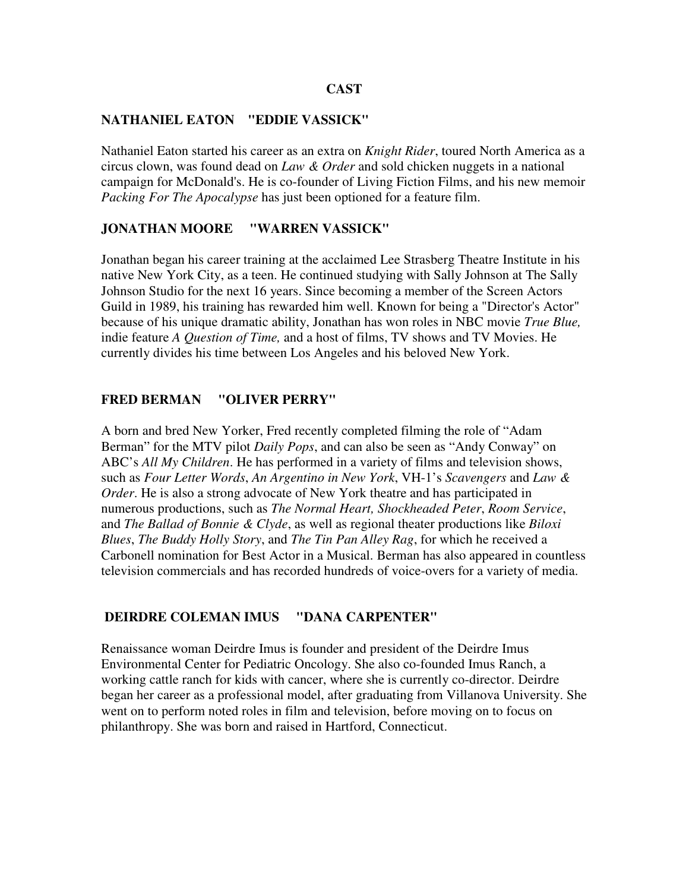## **NATHANIEL EATON "EDDIE VASSICK"**

Nathaniel Eaton started his career as an extra on *Knight Rider*, toured North America as a circus clown, was found dead on *Law & Order* and sold chicken nuggets in a national campaign for McDonald's. He is co-founder of Living Fiction Films, and his new memoir *Packing For The Apocalypse* has just been optioned for a feature film.

## **JONATHAN MOORE "WARREN VASSICK"**

Jonathan began his career training at the acclaimed Lee Strasberg Theatre Institute in his native New York City, as a teen. He continued studying with Sally Johnson at The Sally Johnson Studio for the next 16 years. Since becoming a member of the Screen Actors Guild in 1989, his training has rewarded him well. Known for being a "Director's Actor" because of his unique dramatic ability, Jonathan has won roles in NBC movie *True Blue,* indie feature *A Question of Time,* and a host of films, TV shows and TV Movies. He currently divides his time between Los Angeles and his beloved New York.

## **FRED BERMAN "OLIVER PERRY"**

A born and bred New Yorker, Fred recently completed filming the role of "Adam Berman" for the MTV pilot *Daily Pops*, and can also be seen as "Andy Conway" on ABC's *All My Children*. He has performed in a variety of films and television shows, such as *Four Letter Words*, *An Argentino in New York*, VH-1's *Scavengers* and *Law & Order*. He is also a strong advocate of New York theatre and has participated in numerous productions, such as *The Normal Heart, Shockheaded Peter*, *Room Service*, and *The Ballad of Bonnie & Clyde*, as well as regional theater productions like *Biloxi Blues*, *The Buddy Holly Story*, and *The Tin Pan Alley Rag*, for which he received a Carbonell nomination for Best Actor in a Musical. Berman has also appeared in countless television commercials and has recorded hundreds of voice-overs for a variety of media.

#### **DEIRDRE COLEMAN IMUS "DANA CARPENTER"**

Renaissance woman Deirdre Imus is founder and president of the Deirdre Imus Environmental Center for Pediatric Oncology. She also co-founded Imus Ranch, a working cattle ranch for kids with cancer, where she is currently co-director. Deirdre began her career as a professional model, after graduating from Villanova University. She went on to perform noted roles in film and television, before moving on to focus on philanthropy. She was born and raised in Hartford, Connecticut.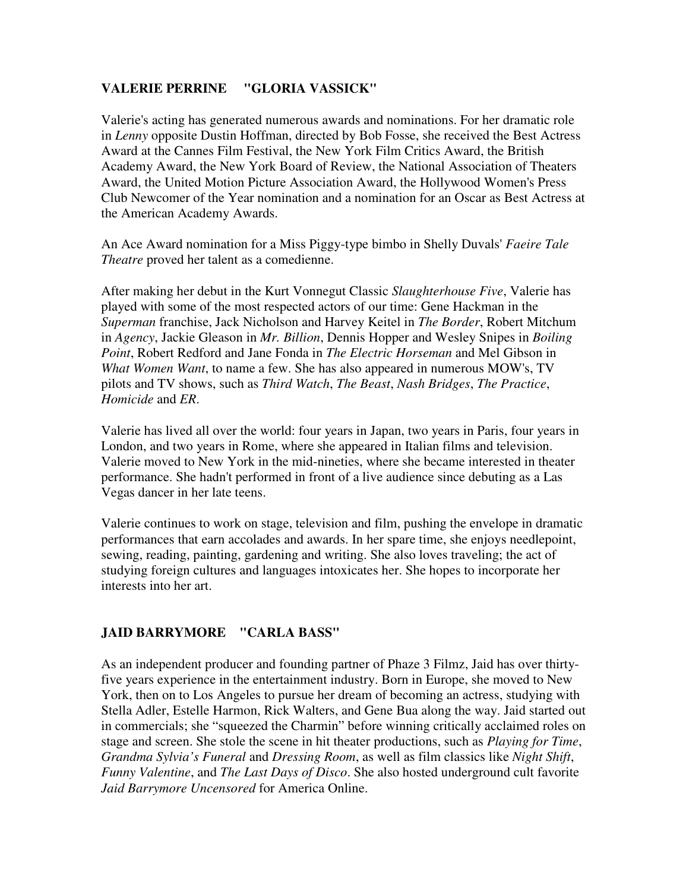## **VALERIE PERRINE "GLORIA VASSICK"**

Valerie's acting has generated numerous awards and nominations. For her dramatic role in *Lenny* opposite Dustin Hoffman, directed by Bob Fosse, she received the Best Actress Award at the Cannes Film Festival, the New York Film Critics Award, the British Academy Award, the New York Board of Review, the National Association of Theaters Award, the United Motion Picture Association Award, the Hollywood Women's Press Club Newcomer of the Year nomination and a nomination for an Oscar as Best Actress at the American Academy Awards.

An Ace Award nomination for a Miss Piggy-type bimbo in Shelly Duvals' *Faeire Tale Theatre* proved her talent as a comedienne.

After making her debut in the Kurt Vonnegut Classic *Slaughterhouse Five*, Valerie has played with some of the most respected actors of our time: Gene Hackman in the *Superman* franchise, Jack Nicholson and Harvey Keitel in *The Border*, Robert Mitchum in *Agency*, Jackie Gleason in *Mr. Billion*, Dennis Hopper and Wesley Snipes in *Boiling Point*, Robert Redford and Jane Fonda in *The Electric Horseman* and Mel Gibson in *What Women Want*, to name a few. She has also appeared in numerous MOW's, TV pilots and TV shows, such as *Third Watch*, *The Beast*, *Nash Bridges*, *The Practice*, *Homicide* and *ER*.

Valerie has lived all over the world: four years in Japan, two years in Paris, four years in London, and two years in Rome, where she appeared in Italian films and television. Valerie moved to New York in the mid-nineties, where she became interested in theater performance. She hadn't performed in front of a live audience since debuting as a Las Vegas dancer in her late teens.

Valerie continues to work on stage, television and film, pushing the envelope in dramatic performances that earn accolades and awards. In her spare time, she enjoys needlepoint, sewing, reading, painting, gardening and writing. She also loves traveling; the act of studying foreign cultures and languages intoxicates her. She hopes to incorporate her interests into her art.

# **JAID BARRYMORE "CARLA BASS"**

As an independent producer and founding partner of Phaze 3 Filmz, Jaid has over thirtyfive years experience in the entertainment industry. Born in Europe, she moved to New York, then on to Los Angeles to pursue her dream of becoming an actress, studying with Stella Adler, Estelle Harmon, Rick Walters, and Gene Bua along the way. Jaid started out in commercials; she "squeezed the Charmin" before winning critically acclaimed roles on stage and screen. She stole the scene in hit theater productions, such as *Playing for Time*, *Grandma Sylvia's Funeral* and *Dressing Room*, as well as film classics like *Night Shift*, *Funny Valentine*, and *The Last Days of Disco*. She also hosted underground cult favorite *Jaid Barrymore Uncensored* for America Online.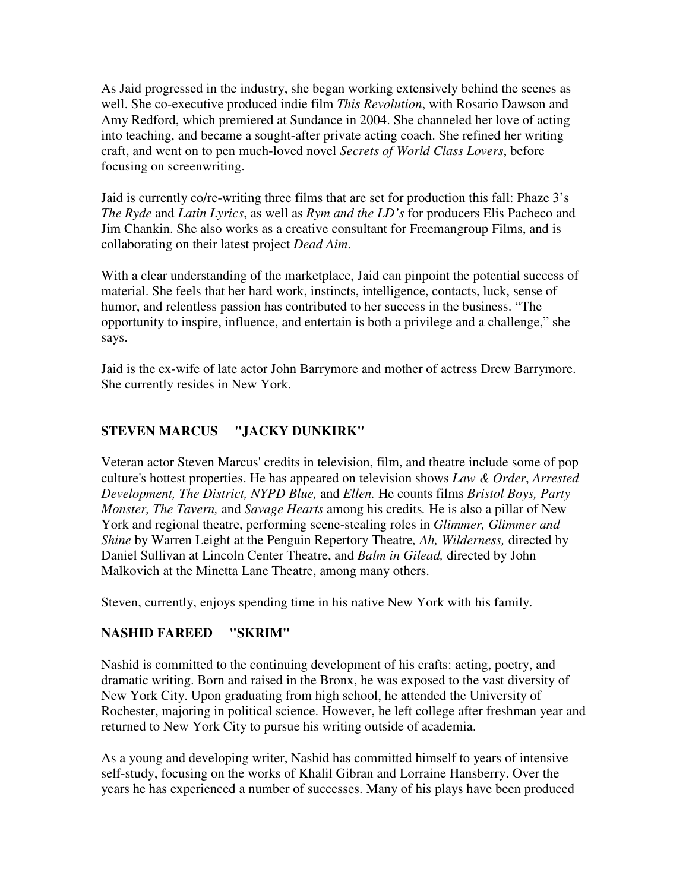As Jaid progressed in the industry, she began working extensively behind the scenes as well. She co-executive produced indie film *This Revolution*, with Rosario Dawson and Amy Redford, which premiered at Sundance in 2004. She channeled her love of acting into teaching, and became a sought-after private acting coach. She refined her writing craft, and went on to pen much-loved novel *Secrets of World Class Lovers*, before focusing on screenwriting.

Jaid is currently co/re-writing three films that are set for production this fall: Phaze 3's *The Ryde* and *Latin Lyrics*, as well as *Rym and the LD's* for producers Elis Pacheco and Jim Chankin. She also works as a creative consultant for Freemangroup Films, and is collaborating on their latest project *Dead Aim*.

With a clear understanding of the marketplace, Jaid can pinpoint the potential success of material. She feels that her hard work, instincts, intelligence, contacts, luck, sense of humor, and relentless passion has contributed to her success in the business. "The opportunity to inspire, influence, and entertain is both a privilege and a challenge," she says.

Jaid is the ex-wife of late actor John Barrymore and mother of actress Drew Barrymore. She currently resides in New York.

# **STEVEN MARCUS "JACKY DUNKIRK"**

Veteran actor Steven Marcus' credits in television, film, and theatre include some of pop culture's hottest properties. He has appeared on television shows *Law & Order*, *Arrested Development, The District, NYPD Blue,* and *Ellen.* He counts films *Bristol Boys, Party Monster, The Tavern,* and *Savage Hearts* among his credits*.* He is also a pillar of New York and regional theatre, performing scene-stealing roles in *Glimmer, Glimmer and Shine* by Warren Leight at the Penguin Repertory Theatre*, Ah, Wilderness,* directed by Daniel Sullivan at Lincoln Center Theatre, and *Balm in Gilead,* directed by John Malkovich at the Minetta Lane Theatre, among many others.

Steven, currently, enjoys spending time in his native New York with his family.

# **NASHID FAREED "SKRIM"**

Nashid is committed to the continuing development of his crafts: acting, poetry, and dramatic writing. Born and raised in the Bronx, he was exposed to the vast diversity of New York City. Upon graduating from high school, he attended the University of Rochester, majoring in political science. However, he left college after freshman year and returned to New York City to pursue his writing outside of academia.

As a young and developing writer, Nashid has committed himself to years of intensive self-study, focusing on the works of Khalil Gibran and Lorraine Hansberry. Over the years he has experienced a number of successes. Many of his plays have been produced